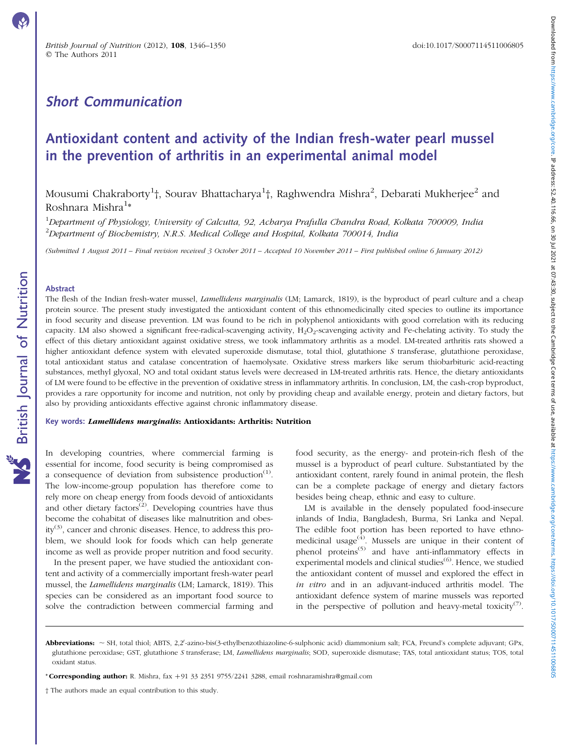# Downloaded from https://www.cambridge.org/core. IP address: 52.40.116.66, on 30.Jul 2021 at 07:43:30, subject to the Cambridge Core terms of use, available at terrys://www.cambridge.org/core/terms. https://www.cambridge.or Downloaded from https://www.cambrige.org/core. IP address: 52.40.116.66. on 107.43330, subject to the Cambrigge Core terms of use, available at https://www.cambridge.org/core/terms https://www.cambridge.org/core/terms http

# Short Communication

# Antioxidant content and activity of the Indian fresh-water pearl mussel in the prevention of arthritis in an experimental animal model

Mousumi Chakraborty $^1$ †, Sourav Bhattacharya $^1$ †, Raghwendra Mishra $^2$ , Debarati Mukherjee $^2$  and Roshnara Mishra<sup>1</sup>\*

<sup>1</sup>Department of Physiology, University of Calcutta, 92. Acharya Prafulla Chandra Road, Kolkata 700009, India <sup>2</sup>Department of Biochemistry, N.R.S. Medical College and Hospital, Kolkata 700014, India

(Submitted 1 August 2011 – Final revision received 3 October 2011 – Accepted 10 November 2011 – First published online 6 January 2012)

### Abstract

The flesh of the Indian fresh-water mussel, *Lamellidens marginalis* (LM; Lamarck, 1819), is the byproduct of pearl culture and a cheap protein source. The present study investigated the antioxidant content of this ethnomedicinally cited species to outline its importance in food security and disease prevention. LM was found to be rich in polyphenol antioxidants with good correlation with its reducing capacity. LM also showed a significant free-radical-scavenging activity,  $\rm H_2O_2$ -scavenging activity and Fe-chelating activity. To study the effect of this dietary antioxidant against oxidative stress, we took inflammatory arthritis as a model. LM-treated arthritis rats showed a higher antioxidant defence system with elevated superoxide dismutase, total thiol, glutathione S transferase, glutathione peroxidase, total antioxidant status and catalase concentration of haemolysate. Oxidative stress markers like serum thiobarbituric acid-reacting substances, methyl glyoxal, NO and total oxidant status levels were decreased in LM-treated arthritis rats. Hence, the dietary antioxidants of LM were found to be effective in the prevention of oxidative stress in inflammatory arthritis. In conclusion, LM, the cash-crop byproduct, provides a rare opportunity for income and nutrition, not only by providing cheap and available energy, protein and dietary factors, but also by providing antioxidants effective against chronic inflammatory disease.

Key words: Lamellidens marginalis: Antioxidants: Arthritis: Nutrition

In developing countries, where commercial farming is essential for income, food security is being compromised as a consequence of deviation from subsistence production $(1)$ . The low-income-group population has therefore come to rely more on cheap energy from foods devoid of antioxidants and other dietary factors<sup> $(2)$ </sup>. Developing countries have thus become the cohabitat of diseases like malnutrition and obes $ity^{(3)}$ , cancer and chronic diseases. Hence, to address this problem, we should look for foods which can help generate income as well as provide proper nutrition and food security.

In the present paper, we have studied the antioxidant content and activity of a commercially important fresh-water pearl mussel, the Lamellidens marginalis (LM; Lamarck, 1819). This species can be considered as an important food source to solve the contradiction between commercial farming and

food security, as the energy- and protein-rich flesh of the mussel is a byproduct of pearl culture. Substantiated by the antioxidant content, rarely found in animal protein, the flesh can be a complete package of energy and dietary factors besides being cheap, ethnic and easy to culture.

LM is available in the densely populated food-insecure inlands of India, Bangladesh, Burma, Sri Lanka and Nepal. The edible foot portion has been reported to have ethnomedicinal usage $(4)$ . Mussels are unique in their content of phenol proteins(5) and have anti-inflammatory effects in experimental models and clinical studies<sup>(6)</sup>. Hence, we studied the antioxidant content of mussel and explored the effect in in vitro and in an adjuvant-induced arthritis model. The antioxidant defence system of marine mussels was reported in the perspective of pollution and heavy-metal toxicity<sup>(7)</sup>.

Abbreviations: ~ SH, total thiol; ABTS, 2,2'-azino-bis(3-ethylbenzothiazoline-6-sulphonic acid) diammonium salt; FCA, Freund's complete adjuvant; GPx, glutathione peroxidase; GST, glutathione S transferase; LM, *Lamellidens marginalis*; SOD, superoxide dismutase; TAS, total antioxidant status; TOS, total oxidant status.

<sup>\*</sup> Corresponding author: R. Mishra, fax +91 33 2351 9755/2241 3288, email roshnaramishra@gmail.com

<sup>†</sup> The authors made an equal contribution to this study.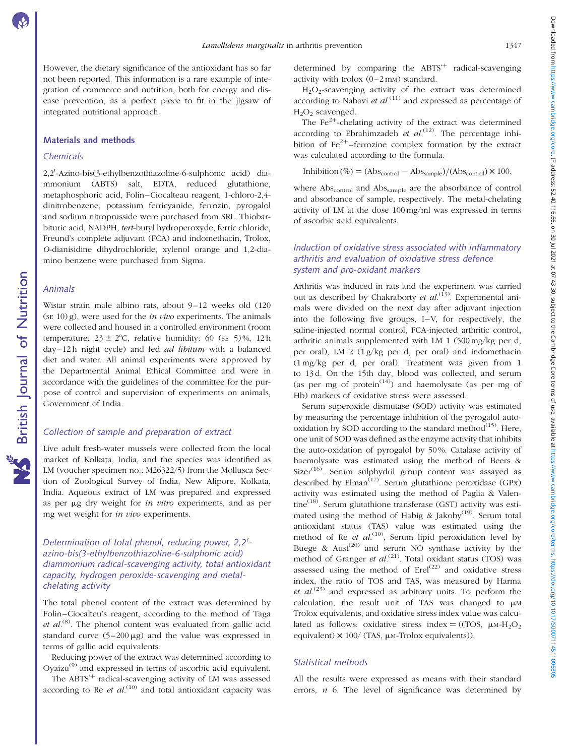However, the dietary significance of the antioxidant has so far not been reported. This information is a rare example of integration of commerce and nutrition, both for energy and disease prevention, as a perfect piece to fit in the jigsaw of integrated nutritional approach.

### Materials and methods

### **Chemicals**

2,2'-Azino-bis(3-ethylbenzothiazoline-6-sulphonic acid) diammonium (ABTS) salt, EDTA, reduced glutathione, metaphosphoric acid, Folin–Ciocalteau reagent, 1-chloro-2,4 dinitrobenzene, potassium ferricyanide, ferrozin, pyrogalol and sodium nitroprusside were purchased from SRL. Thiobarbituric acid, NADPH, tert-butyl hydroperoxyde, ferric chloride, Freund's complete adjuvant (FCA) and indomethacin, Trolox, O-dianisidine dihydrochloride, xylenol orange and 1,2-diamino benzene were purchased from Sigma.

### Animals

British Journal of Nutrition

**NS** British Journal of Nutrition

Wistar strain male albino rats, about 9-12 weeks old (120  $($ se 10 $)$  g $)$ , were used for the *in vivo* experiments. The animals were collected and housed in a controlled environment (room temperature:  $23 \pm 2^{\circ}C$ , relative humidity: 60 (SE 5)%, 12 h day-12h night cycle) and fed *ad libitum* with a balanced diet and water. All animal experiments were approved by the Departmental Animal Ethical Committee and were in accordance with the guidelines of the committee for the purpose of control and supervision of experiments on animals, Government of India.

### Collection of sample and preparation of extract

Live adult fresh-water mussels were collected from the local market of Kolkata, India, and the species was identified as LM (voucher specimen no.: M26322/5) from the Mollusca Section of Zoological Survey of India, New Alipore, Kolkata, India. Aqueous extract of LM was prepared and expressed as per  $\mu$ g dry weight for *in vitro* experiments, and as per mg wet weight for in vivo experiments.

### Determination of total phenol, reducing power, 2,2'azino-bis(3-ethylbenzothiazoline-6-sulphonic acid) diammonium radical-scavenging activity, total antioxidant capacity, hydrogen peroxide-scavenging and metalchelating activity

The total phenol content of the extract was determined by Folin–Ciocalteu's reagent, according to the method of Taga et  $al$ .<sup>(8)</sup>. The phenol content was evaluated from gallic acid standard curve  $(5-200 \mu g)$  and the value was expressed in terms of gallic acid equivalents.

Reducing power of the extract was determined according to Oyaizu(9) and expressed in terms of ascorbic acid equivalent.

The ABTS<sup>+</sup> radical-scavenging activity of LM was assessed according to Re et  $al^{(10)}$  and total antioxidant capacity was

determined by comparing the  $ABTS^+$  radical-scavenging activity with trolox  $(0-2 \text{ mm})$  standard.

H2O<sup>2</sup> -scavenging activity of the extract was determined according to Nabavi et  $al$ .<sup>(11)</sup> and expressed as percentage of H<sub>2</sub>O<sub>2</sub> scavenged.

The Fe $^{2+}$ -chelating activity of the extract was determined according to Ebrahimzadeh *et al*.<sup>(12)</sup>. The percentage inhibition of  $Fe^{2+}$ -ferrozine complex formation by the extract was calculated according to the formula:

Inhibition (%) =  $(\text{Abs}_{\text{control}} - \text{Abs}_{\text{sample}})/(\text{Abs}_{\text{control}}) \times 100$ ,

where Abs<sub>control</sub> and Abs<sub>sample</sub> are the absorbance of control and absorbance of sample, respectively. The metal-chelating activity of LM at the dose 100 mg/ml was expressed in terms of ascorbic acid equivalents.

### Induction of oxidative stress associated with inflammatory arthritis and evaluation of oxidative stress defence system and pro-oxidant markers

Arthritis was induced in rats and the experiment was carried out as described by Chakraborty et  $al^{(13)}$ . Experimental animals were divided on the next day after adjuvant injection into the following five groups, I-V, for respectively, the saline-injected normal control, FCA-injected arthritic control, arthritic animals supplemented with LM 1 (500 mg/kg per d, per oral), LM 2 (1 g/kg per d, per oral) and indomethacin (1 mg/kg per d, per oral). Treatment was given from 1 to 13 d. On the 15th day, blood was collected, and serum (as per mg of protein<sup>(14)</sup>) and haemolysate (as per mg of Hb) markers of oxidative stress were assessed.

Serum superoxide dismutase (SOD) activity was estimated by measuring the percentage inhibition of the pyrogalol autooxidation by SOD according to the standard method $(15)$ . Here, one unit of SOD was defined as the enzyme activity that inhibits the auto-oxidation of pyrogalol by 50 %. Catalase activity of haemolysate was estimated using the method of Beers & Sizer<sup>(16)</sup>. Serum sulphydril group content was assayed as described by Elman<sup> $(17)$ </sup>. Serum glutathione peroxidase (GPx) activity was estimated using the method of Paglia & Valentine<sup> $(18)$ </sup>. Serum glutathione transferase (GST) activity was estimated using the method of Habig & Jakoby<sup>(19)</sup>. Serum total antioxidant status (TAS) value was estimated using the method of Re et  $al^{(10)}$ , Serum lipid peroxidation level by Buege &  $Aust^{(20)}$  and serum NO synthase activity by the method of Granger et  $al^{(21)}$ . Total oxidant status (TOS) was assessed using the method of  $Erel^{(22)}$  and oxidative stress index, the ratio of TOS and TAS, was measured by Harma et  $al^{(23)}$  and expressed as arbitrary units. To perform the calculation, the result unit of TAS was changed to  $\mu$ M Trolox equivalents, and oxidative stress index value was calculated as follows: oxidative stress index  $=$  ((TOS,  $\mu$ M-H<sub>2</sub>O<sub>2</sub>) equivalent)  $\times$  100/ (TAS,  $\mu$ M-Trolox equivalents)).

### Statistical methods

All the results were expressed as means with their standard errors,  $n$  6. The level of significance was determined by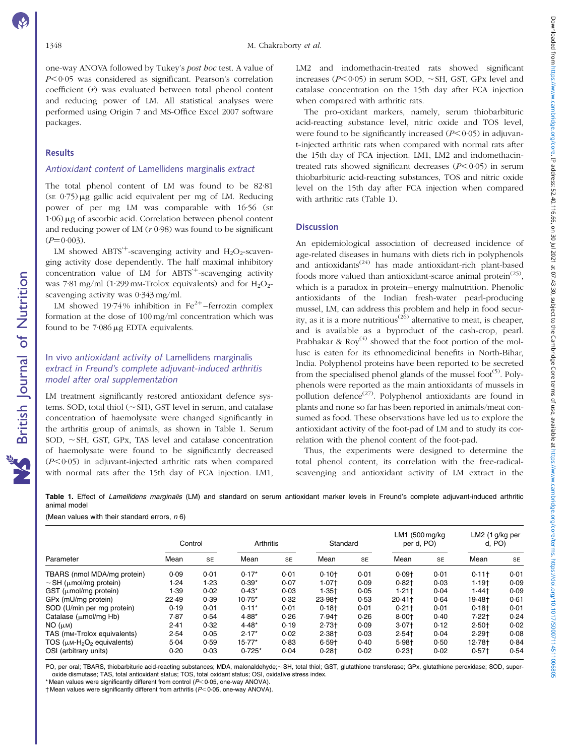one-way ANOVA followed by Tukey's post hoc test. A value of  $P$ <0·05 was considered as significant. Pearson's correlation coefficient (r) was evaluated between total phenol content and reducing power of LM. All statistical analyses were performed using Origin 7 and MS-Office Excel 2007 software packages.

### Results

British Journal of Nutrition

**NS** British Journal of Nutrition

### Antioxidant content of Lamellidens marginalis extract

The total phenol content of LM was found to be 82·81  $(\text{SE } 0.75)$  µg gallic acid equivalent per mg of LM. Reducing power of per mg LM was comparable with 16·56 (SE  $1·06$ )  $\mu$ g of ascorbic acid. Correlation between phenol content and reducing power of LM  $(r 0.98)$  was found to be significant  $(P=0.003)$ .

LM showed  $ABTS^+$ -scavenging activity and  $H_2O_2$ -scavenging activity dose dependently. The half maximal inhibitory  $\frac{1}{2}$  concentration value of LM for ABTS<sup>+</sup>-scavenging activity was 7.81 mg/ml (1.299 mm-Trolox equivalents) and for  $H_2O_2$ scavenging activity was 0·343 mg/ml.

LM showed  $19.74\%$  inhibition in Fe<sup>2+</sup>-ferrozin complex formation at the dose of 100 mg/ml concentration which was found to be  $7.086 \mu g$  EDTA equivalents.

## In vivo antioxidant activity of Lamellidens marginalis extract in Freund's complete adjuvant-induced arthritis model after oral supplementation

LM treatment significantly restored antioxidant defence systems. SOD, total thiol ( $\sim$  SH), GST level in serum, and catalase concentration of haemolysate were changed significantly in the arthritis group of animals, as shown in Table 1. Serum SOD,  $\sim$  SH, GST, GPx, TAS level and catalase concentration of haemolysate were found to be significantly decreased  $(P<0.05)$  in adjuvant-injected arthritic rats when compared with normal rats after the 15th day of FCA injection. LM1,

LM2 and indomethacin-treated rats showed significant increases ( $P<0.05$ ) in serum SOD,  $\sim$  SH, GST, GPx level and catalase concentration on the 15th day after FCA injection when compared with arthritic rats.

The pro-oxidant markers, namely, serum thiobarbituric acid-reacting substance level, nitric oxide and TOS level, were found to be significantly increased  $(P<0.05)$  in adjuvant-injected arthritic rats when compared with normal rats after the 15th day of FCA injection. LM1, LM2 and indomethacintreated rats showed significant decreases ( $P$ <0·05) in serum thiobarbituric acid-reacting substances, TOS and nitric oxide level on the 15th day after FCA injection when compared with arthritic rats (Table 1).

### **Discussion**

An epidemiological association of decreased incidence of age-related diseases in humans with diets rich in polyphenols and antioxidants $(24)$  has made antioxidant-rich plant-based foods more valued than antioxidant-scarce animal protein<sup>(25)</sup>, which is a paradox in protein–energy malnutrition. Phenolic antioxidants of the Indian fresh-water pearl-producing mussel, LM, can address this problem and help in food security, as it is a more nutritious<sup> $(26)$ </sup> alternative to meat, is cheaper, and is available as a byproduct of the cash-crop, pearl. Prabhakar & Roy<sup>(4)</sup> showed that the foot portion of the mollusc is eaten for its ethnomedicinal benefits in North-Bihar, India. Polyphenol proteins have been reported to be secreted from the specialised phenol glands of the mussel foot<sup> $(5)$ </sup>. Polyphenols were reported as the main antioxidants of mussels in pollution defence<sup>(27)</sup>. Polyphenol antioxidants are found in plants and none so far has been reported in animals/meat consumed as food. These observations have led us to explore the antioxidant activity of the foot-pad of LM and to study its correlation with the phenol content of the foot-pad.

Thus, the experiments were designed to determine the total phenol content, its correlation with the free-radicalscavenging and antioxidant activity of LM extract in the

Table 1. Effect of Lamellidens marginalis (LM) and standard on serum antioxidant marker levels in Freund's complete adjuvant-induced arthritic animal model

(Mean values with their standard errors,  $n 6$ )

| Parameter                                                | Control |           | Arthritis |           | Standard  |           | LM1 (500 mg/kg)<br>per d, PO) |           | LM2 (1 g/kg per<br>d, PO |      |
|----------------------------------------------------------|---------|-----------|-----------|-----------|-----------|-----------|-------------------------------|-----------|--------------------------|------|
|                                                          | Mean    | <b>SE</b> | Mean      | <b>SE</b> | Mean      | <b>SE</b> | Mean                          | <b>SE</b> | Mean                     | SE   |
| TBARS (nmol MDA/mg protein)                              | 0.09    | 0.01      | $0.17*$   | 0.01      | $0.10+$   | 0.01      | $0.09+$                       | 0.01      | 0.111                    | 0.01 |
| $\sim$ SH ( $\mu$ mol/mg protein)                        | 1.24    | 1.23      | $0.39*$   | 0.07      | $1.07+$   | 0.09      | $0.82 +$                      | 0.03      | $1.19+$                  | 0.09 |
| $GST$ ( $\mu$ mol/mg protein)                            | 1.39    | 0.02      | $0.43*$   | 0.03      | $1.35 +$  | 0.05      | $1.21+$                       | 0.04      | $1.44$ t                 | 0.09 |
| GPx (mU/mg protein)                                      | 22.49   | 0.39      | $10.75*$  | 0.32      | $23.98 +$ | 0.53      | $20.41$ <sup>+</sup>          | 0.64      | 19.48†                   | 0.61 |
| SOD (U/min per mg protein)                               | 0.19    | 0.01      | $0.11*$   | 0.01      | $0.18 +$  | 0.01      | $0.21$ <sup>+</sup>           | 0.01      | $0.18$ <sup>+</sup>      | 0.01 |
| Catalase ( $\mu$ mol/mg Hb)                              | 7.87    | 0.54      | $4.88*$   | 0.26      | $7.94+$   | 0.26      | $8.00 +$                      | 0.40      | $7.22$ t                 | 0.24 |
| $NO(\mu M)$                                              | 2.41    | 0.32      | $4.48*$   | 0.19      | $2.73+$   | 0.09      | $3.07+$                       | 0.12      | $2.50+$                  | 0.02 |
| TAS (mm-Trolox equivalents)                              | 2.54    | 0.05      | $2.17*$   | 0.02      | $2.38+$   | 0.03      | $2.54$ t                      | 0.04      | $2.29+$                  | 0.08 |
| TOS ( $\mu$ M-H <sub>2</sub> O <sub>2</sub> equivalents) | 5.04    | 0.59      | $15.77*$  | 0.83      | $6.59 +$  | 0.40      | $5.98+$                       | 0.50      | 12.78 <sup>†</sup>       | 0.84 |
| OSI (arbitrary units)                                    | 0.20    | 0.03      | $0.725*$  | 0.04      | $0.28 +$  | 0.02      | $0.23 +$                      | 0.02      | $0.57+$                  | 0.54 |

PO, per oral; TBARS, thiobarbituric acid-reacting substances; MDA, malonaldehyde;~SH, total thiol; GST, glutathione transferase; GPx, glutathione peroxidase; SOD, superoxide dismutase; TAS, total antioxidant status; TOS, total oxidant status; OSI, oxidative stress index.

\* Mean values were significantly different from control ( $P < 0.05$ , one-way ANOVA).

 $\dagger$  Mean values were significantly different from arthritis ( $P$ < 0.05, one-way ANOVA).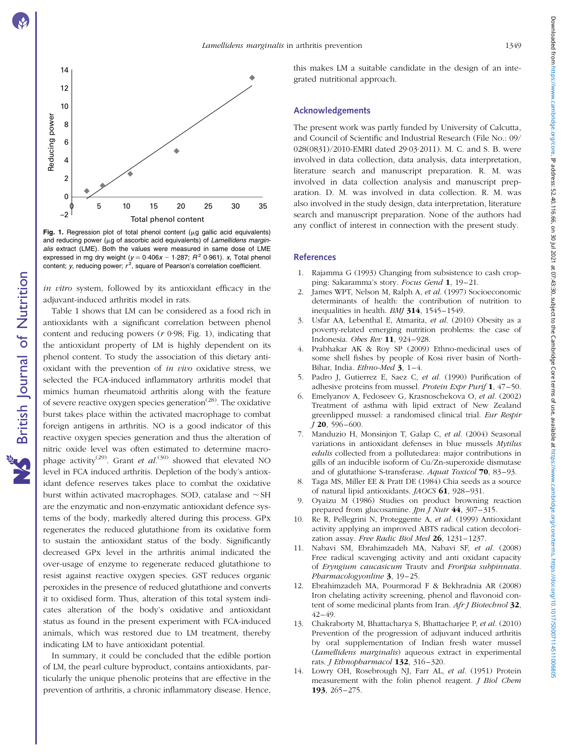

Fig. 1. Regression plot of total phenol content ( $\mu$ g gallic acid equivalents) and reducing power ( $\mu$ g of ascorbic acid equivalents) of Lamellidens marginalis extract (LME). Both the values were measured in same dose of LME expressed in mg dry weight ( $y = 0.406x - 1.287$ ;  $R^2$  0.961). x, Total phenol content; y, reducing power;  $r^2$ , square of Pearson's correlation coefficient.

in vitro system, followed by its antioxidant efficacy in the adjuvant-induced arthritis model in rats.

Table 1 shows that LM can be considered as a food rich in antioxidants with a significant correlation between phenol content and reducing powers  $(r 0.98; Fig. 1)$ , indicating that the antioxidant property of LM is highly dependent on its phenol content. To study the association of this dietary antioxidant with the prevention of *in vivo* oxidative stress, we selected the FCA-induced inflammatory arthritis model that mimics human rheumatoid arthritis along with the feature of severe reactive oxygen species generation<sup> $(28)$ </sup>. The oxidative burst takes place within the activated macrophage to combat foreign antigens in arthritis. NO is a good indicator of this reactive oxygen species generation and thus the alteration of nitric oxide level was often estimated to determine macrophage activity<sup>(29)</sup>. Grant *et al*.<sup>(30)</sup> showed that elevated NO level in FCA induced arthritis. Depletion of the body's antioxidant defence reserves takes place to combat the oxidative burst within activated macrophages. SOD, catalase and  $\sim$  SH are the enzymatic and non-enzymatic antioxidant defence systems of the body, markedly altered during this process. GPx regenerates the reduced glutathione from its oxidative form to sustain the antioxidant status of the body. Significantly decreased GPx level in the arthritis animal indicated the over-usage of enzyme to regenerate reduced glutathione to resist against reactive oxygen species. GST reduces organic peroxides in the presence of reduced glutathione and converts it to oxidised form. Thus, alteration of this total system indicates alteration of the body's oxidative and antioxidant status as found in the present experiment with FCA-induced animals, which was restored due to LM treatment, thereby indicating LM to have antioxidant potential.

In summary, it could be concluded that the edible portion of LM, the pearl culture byproduct, contains antioxidants, particularly the unique phenolic proteins that are effective in the prevention of arthritis, a chronic inflammatory disease. Hence, this makes LM a suitable candidate in the design of an integrated nutritional approach.

### Acknowledgements

The present work was partly funded by University of Calcutta, and Council of Scientific and Industrial Research (File No.: 09/ 028(0831)/2010-EMRI dated 29·03·2011). M. C. and S. B. were involved in data collection, data analysis, data interpretation, literature search and manuscript preparation. R. M. was involved in data collection analysis and manuscript preparation. D. M. was involved in data collection. R. M. was also involved in the study design, data interpretation, literature search and manuscript preparation. None of the authors had any conflict of interest in connection with the present study.

### References

- 1. Rajamma G (1993) Changing from subsistence to cash cropping: Sakaramma's story. Focus Gend 1, 19-21.
- 2. James WPT, Nelson M, Ralph A, et al. (1997) Socioeconomic determinants of health: the contribution of nutrition to inequalities in health. BMJ 314, 1545-1549.
- 3. Usfar AA, Lebenthal E, Atmarita, et al. (2010) Obesity as a poverty-related emerging nutrition problems: the case of Indonesia. Obes Rev 11, 924 –928.
- 4. Prabhakar AK & Roy SP (2009) Ethno-medicinal uses of some shell fishes by people of Kosi river basin of North-Bihar, India. Ethno-Med  $3$ , 1-4.
- 5. Padro J, Gutierrez E, Saez C, et al. (1990) Purification of adhesive proteins from mussel. Protein Expr Purif 1, 47–50.
- 6. Emelyanov A, Fedoseev G, Krasnoschekova O, et al. (2002) Treatment of asthma with lipid extract of New Zealand greenlipped mussel: a randomised clinical trial. Eur Respir  $J$  20, 596-600.
- 7. Manduzio H, Monsinjon T, Galap C, et al. (2004) Seasonal variations in antioxidant defenses in blue mussels Mytilus edulis collected from a pollutedarea: major contributions in gills of an inducible isoform of Cu/Zn-superoxide dismutase and of glutathione S-transferase. Aquat Toxicol 70, 83-93.
- 8. Taga MS, Miller EE & Pratt DE (1984) Chia seeds as a source of natural lipid antioxidants. *JAOCS* 61, 928-931.
- 9. Oyaizu M (1986) Studies on product browning reaction prepared from glucosamine. Jpn J Nutr 44, 307-315.
- 10. Re R, Pellegrini N, Proteggente A, et al. (1999) Antioxidant activity applying an improved ABTS radical cation decolorization assay. Free Radic Biol Med 26, 1231-1237.
- 11. Nabavi SM, Ebrahimzadeh MA, Nabavi SF, et al. (2008) Free radical scavenging activity and anti oxidant capacity of Eryngium caucasicum Trautv and Froripia subpinnata. Pharmacologyonline  $3, 19-25$ .
- 12. Ebrahimzadeh MA, Pourmorad F & Bekhradnia AR (2008) Iron chelating activity screening, phenol and flavonoid content of some medicinal plants from Iran. Afr J Biotechnol 32, 42– 49.
- 13. Chakraborty M, Bhattacharya S, Bhattacharjee P, et al. (2010) Prevention of the progression of adjuvant induced arthritis by oral supplementation of Indian fresh water mussel (Lamellidens marginalis) aqueous extract in experimental rats. *J Ethnopharmacol* 132, 316-320.
- 14. Lowry OH, Rosebrough NJ, Farr AL, et al. (1951) Protein measurement with the folin phenol reagent. *J Biol Chem* 193, 265 – 275.